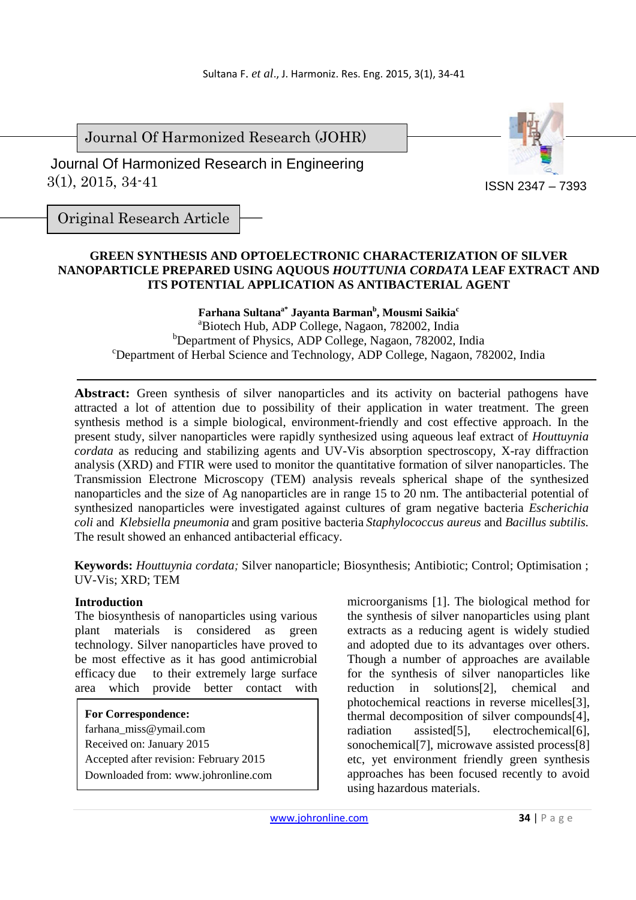Journal Of Harmonized Research (JOHR)

 3(1), 2015, 34-41 Journal Of Harmonized Research in Engineering



Original Research Article

# **GREEN SYNTHESIS AND OPTOELECTRONIC CHARACTERIZATION OF SILVER NANOPARTICLE PREPARED USING AQUOUS** *HOUTTUNIA CORDATA* **LEAF EXTRACT AND ITS POTENTIAL APPLICATION AS ANTIBACTERIAL AGENT**

**Farhana Sultanaa\* Jayanta Barman<sup>b</sup> , Mousmi Saikia<sup>c</sup>** <sup>a</sup>Biotech Hub, ADP College, Nagaon, 782002, India <sup>b</sup>Department of Physics, ADP College, Nagaon, 782002, India <sup>c</sup>Department of Herbal Science and Technology, ADP College, Nagaon, 782002, India

Abstract: Green synthesis of silver nanoparticles and its activity on bacterial pathogens have attracted a lot of attention due to possibility of their application in water treatment. The green synthesis method is a simple biological, environment-friendly and cost effective approach. In the present study, silver nanoparticles were rapidly synthesized using aqueous leaf extract of *Houttuynia cordata* as reducing and stabilizing agents and UV-Vis absorption spectroscopy, X-ray diffraction analysis (XRD) and FTIR were used to monitor the quantitative formation of silver nanoparticles. The Transmission Electrone Microscopy (TEM) analysis reveals spherical shape of the synthesized nanoparticles and the size of Ag nanoparticles are in range 15 to 20 nm. The antibacterial potential of synthesized nanoparticles were investigated against cultures of gram negative bacteria *Escherichia coli* and *Klebsiella pneumonia* and gram positive bacteria *Staphylococcus aureus* and *Bacillus subtilis.*  The result showed an enhanced antibacterial efficacy.

**Keywords:** *Houttuynia cordata;* Silver nanoparticle; Biosynthesis; Antibiotic; Control; Optimisation ; UV-Vis; XRD; TEM

### **Introduction**

The biosynthesis of nanoparticles using various plant materials is considered as green technology. Silver nanoparticles have proved to be most effective as it has good antimicrobial efficacy due to their extremely large surface area which provide better contact with

**For Correspondence:**  farhana\_miss@ymail.com Received on: January 2015 Accepted after revision: February 2015 Downloaded from: www.johronline.com microorganisms [1]. The biological method for the synthesis of silver nanoparticles using plant extracts as a reducing agent is widely studied and adopted due to its advantages over others. Though a number of approaches are available for the synthesis of silver nanoparticles like reduction in solutions[2], chemical and photochemical reactions in reverse micelles[3], thermal decomposition of silver compounds[4], radiation assisted[5], electrochemical[6], sonochemical<sup>[7]</sup>, microwave assisted process<sup>[8]</sup> etc, yet environment friendly green synthesis approaches has been focused recently to avoid using hazardous materials.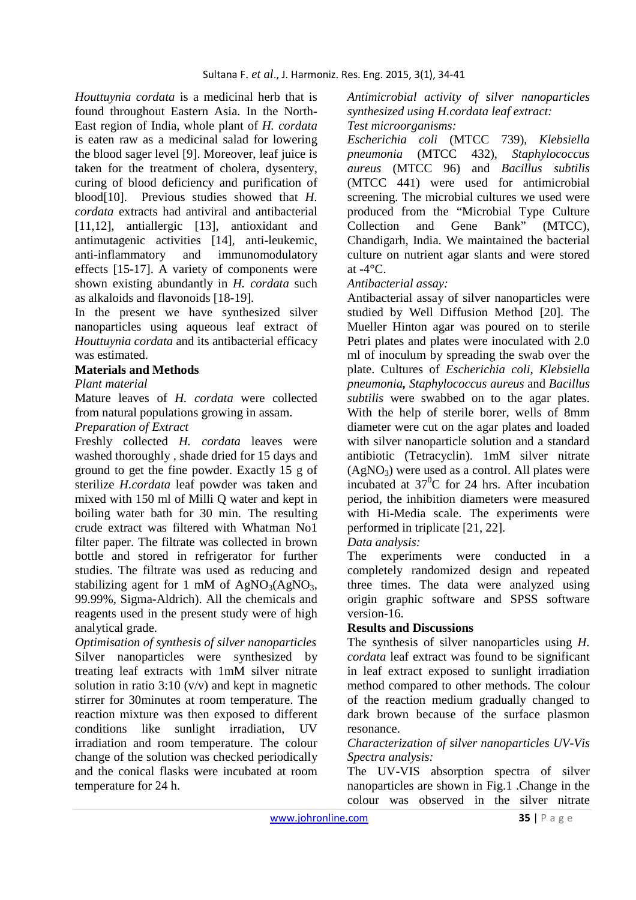*Houttuynia cordata* is a medicinal herb that is found throughout Eastern Asia. In the North-East region of India, whole plant of *H. cordata* is eaten raw as a medicinal salad for lowering the blood sager level [9]. Moreover, leaf juice is taken for the treatment of cholera, dysentery, curing of blood deficiency and purification of blood[10]. Previous studies showed that *H. cordata* extracts had antiviral and antibacterial [11,12], antiallergic [13], antioxidant and antimutagenic activities [14], anti-leukemic, anti-inflammatory and immunomodulatory effects [15-17]. A variety of components were shown existing abundantly in *H. cordata* such as alkaloids and flavonoids [18-19].

In the present we have synthesized silver nanoparticles using aqueous leaf extract of *Houttuynia cordata* and its antibacterial efficacy was estimated.

### **Materials and Methods**

#### *Plant material*

Mature leaves of *H. cordata* were collected from natural populations growing in assam.

## *Preparation of Extract*

Freshly collected *H. cordata* leaves were washed thoroughly , shade dried for 15 days and ground to get the fine powder. Exactly 15 g of sterilize *H.cordata* leaf powder was taken and mixed with 150 ml of Milli Q water and kept in boiling water bath for 30 min. The resulting crude extract was filtered with Whatman No1 filter paper. The filtrate was collected in brown bottle and stored in refrigerator for further studies. The filtrate was used as reducing and stabilizing agent for 1 mM of  $AgNO<sub>3</sub>(AgNO<sub>3</sub>)$ , 99.99%, Sigma-Aldrich). All the chemicals and reagents used in the present study were of high analytical grade.

*Optimisation of synthesis of silver nanoparticles*  Silver nanoparticles were synthesized by treating leaf extracts with 1mM silver nitrate solution in ratio 3:10  $(v/v)$  and kept in magnetic stirrer for 30minutes at room temperature. The reaction mixture was then exposed to different conditions like sunlight irradiation, UV irradiation and room temperature. The colour change of the solution was checked periodically and the conical flasks were incubated at room temperature for 24 h.

*Antimicrobial activity of silver nanoparticles synthesized using H.cordata leaf extract:* 

### *Test microorganisms:*

*Escherichia coli* (MTCC 739), *Klebsiella pneumonia* (MTCC 432), *Staphylococcus aureus* (MTCC 96) and *Bacillus subtilis*  (MTCC 441) were used for antimicrobial screening. The microbial cultures we used were produced from the "Microbial Type Culture Collection and Gene Bank" (MTCC), Chandigarh, India. We maintained the bacterial culture on nutrient agar slants and were stored at  $-4$ <sup>o</sup>C.

### *Antibacterial assay:*

Antibacterial assay of silver nanoparticles were studied by Well Diffusion Method [20]. The Mueller Hinton agar was poured on to sterile Petri plates and plates were inoculated with 2.0 ml of inoculum by spreading the swab over the plate. Cultures of *Escherichia coli*, *Klebsiella pneumonia, Staphylococcus aureus* and *Bacillus subtilis* were swabbed on to the agar plates. With the help of sterile borer, wells of 8mm diameter were cut on the agar plates and loaded with silver nanoparticle solution and a standard antibiotic (Tetracyclin). 1mM silver nitrate  $(AgNO<sub>3</sub>)$  were used as a control. All plates were incubated at  $37^{\circ}$ C for 24 hrs. After incubation period, the inhibition diameters were measured with Hi-Media scale. The experiments were performed in triplicate [21, 22].

### *Data analysis:*

The experiments were conducted in a completely randomized design and repeated three times. The data were analyzed using origin graphic software and SPSS software version-16.

### **Results and Discussions**

The synthesis of silver nanoparticles using *H. cordata* leaf extract was found to be significant in leaf extract exposed to sunlight irradiation method compared to other methods. The colour of the reaction medium gradually changed to dark brown because of the surface plasmon resonance.

#### *Characterization of silver nanoparticles UV-Vis Spectra analysis:*

The UV-VIS absorption spectra of silver nanoparticles are shown in Fig.1 .Change in the colour was observed in the silver nitrate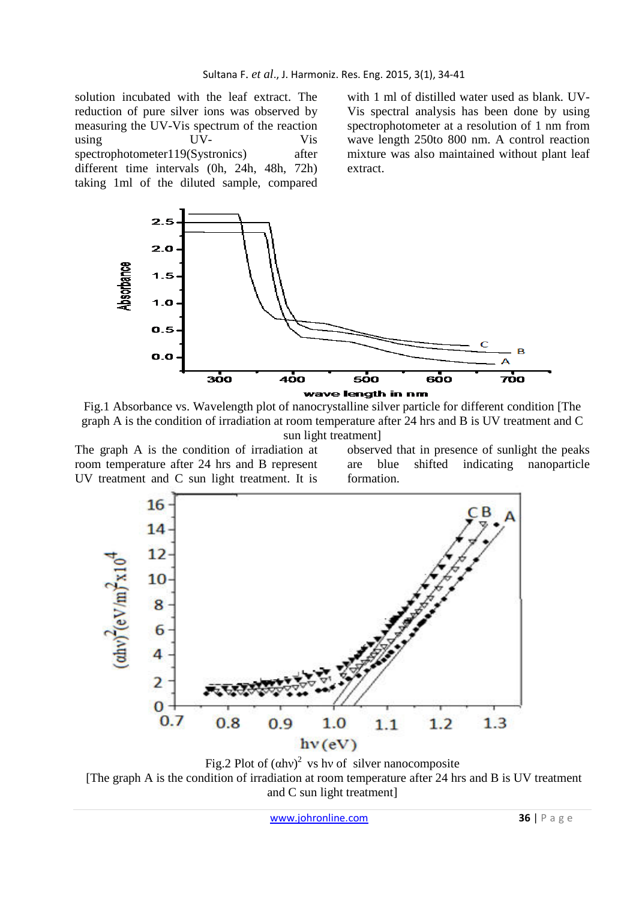solution incubated with the leaf extract. The reduction of pure silver ions was observed by measuring the UV-Vis spectrum of the reaction using UV- Vis spectrophotometer119(Systronics) after different time intervals (0h, 24h, 48h, 72h) taking 1ml of the diluted sample, compared

with 1 ml of distilled water used as blank. UV-Vis spectral analysis has been done by using spectrophotometer at a resolution of 1 nm from wave length 250to 800 nm. A control reaction mixture was also maintained without plant leaf extract.



Fig.1 Absorbance vs. Wavelength plot of nanocrystalline silver particle for different condition [The graph A is the condition of irradiation at room temperature after 24 hrs and B is UV treatment and C sun light treatment]

The graph A is the condition of irradiation at room temperature after 24 hrs and B represent UV treatment and C sun light treatment. It is observed that in presence of sunlight the peaks are blue shifted indicating nanoparticle formation.



Fig.2 Plot of  $(ahv)^2$  vs hv of silver nanocomposite [The graph A is the condition of irradiation at room temperature after 24 hrs and B is UV treatment and C sun light treatment]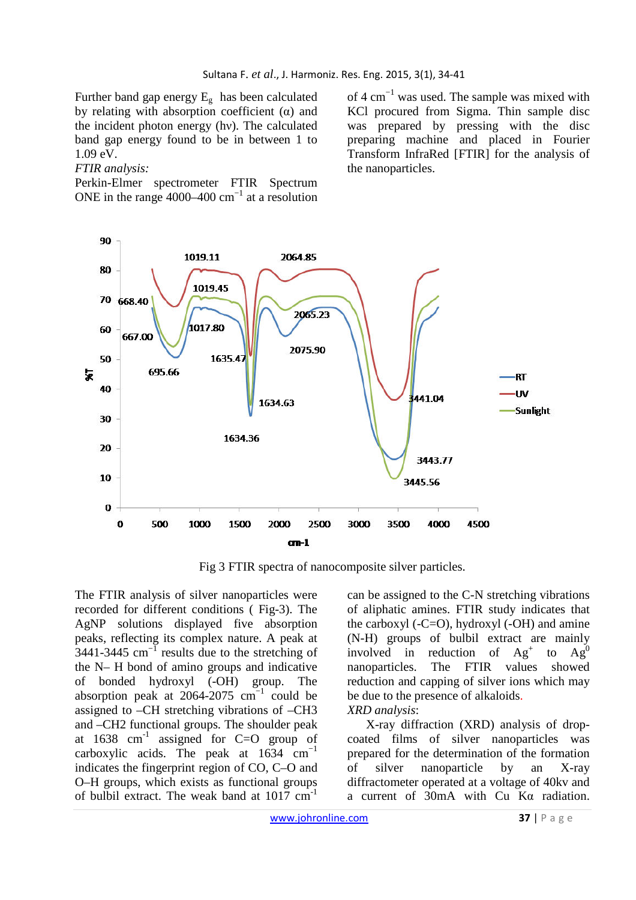Further band gap energy  $E<sub>g</sub>$  has been calculated by relating with absorption coefficient  $(\alpha)$  and the incident photon energy (hν). The calculated band gap energy found to be in between 1 to 1.09 eV.

#### *FTIR analysis:*

Perkin-Elmer spectrometer FTIR Spectrum ONE in the range 4000–400  $cm^{-1}$  at a resolution of 4 cm−1 was used. The sample was mixed with KCl procured from Sigma. Thin sample disc was prepared by pressing with the disc preparing machine and placed in Fourier Transform InfraRed [FTIR] for the analysis of the nanoparticles.



Fig 3 FTIR spectra of nanocomposite silver particles.

The FTIR analysis of silver nanoparticles were recorded for different conditions ( Fig-3). The AgNP solutions displayed five absorption peaks, reflecting its complex nature. A peak at 3441-3445 cm−1 results due to the stretching of the N– H bond of amino groups and indicative of bonded hydroxyl (-OH) group. The absorption peak at 2064-2075  $cm^{-1}$  could be assigned to –CH stretching vibrations of –CH3 and –CH2 functional groups. The shoulder peak at  $1638$  cm<sup>-1</sup> assigned for C=O group of carboxylic acids. The peak at  $1634 \text{ cm}^{-1}$ indicates the fingerprint region of CO, C–O and O–H groups, which exists as functional groups of bulbil extract. The weak band at 1017 cm-1

can be assigned to the C-N stretching vibrations of aliphatic amines. FTIR study indicates that the carboxyl  $(-C=O)$ , hydroxyl  $(-OH)$  and amine (N-H) groups of bulbil extract are mainly involved in reduction of Ag<sup>+</sup> to  $Ag'$ nanoparticles. The FTIR values showed reduction and capping of silver ions which may be due to the presence of alkaloids.

*XRD analysis*:

X-ray diffraction (XRD) analysis of dropcoated films of silver nanoparticles was prepared for the determination of the formation of silver nanoparticle by an X-ray diffractometer operated at a voltage of 40kv and a current of 30mA with Cu Kα radiation.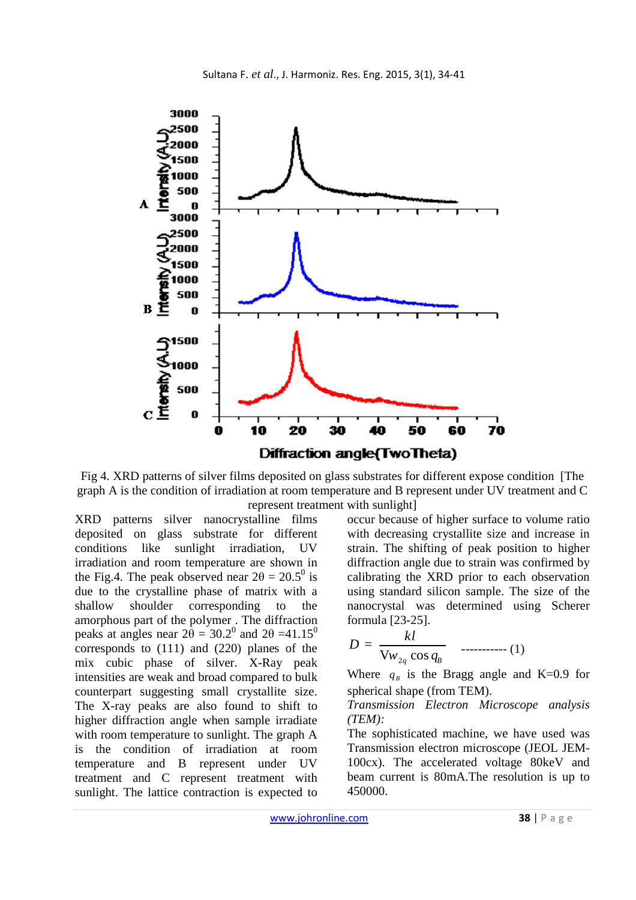

Fig 4. XRD patterns of silver films deposited on glass substrates for different expose condition [The graph A is the condition of irradiation at room temperature and B represent under UV treatment and C represent treatment with sunlight]

XRD patterns silver nanocrystalline films deposited on glass substrate for different conditions like sunlight irradiation, UV irradiation and room temperature are shown in the Fig.4. The peak observed near  $2\theta = 20.5^{\circ}$  is due to the crystalline phase of matrix with a shallow shoulder corresponding to the amorphous part of the polymer . The diffraction peaks at angles near  $2\theta = 30.2^{\circ}$  and  $2\theta = 41.15^{\circ}$ corresponds to (111) and (220) planes of the mix cubic phase of silver. X-Ray peak intensities are weak and broad compared to bulk counterpart suggesting small crystallite size. The X-ray peaks are also found to shift to higher diffraction angle when sample irradiate with room temperature to sunlight. The graph A is the condition of irradiation at room temperature and B represent under UV treatment and C represent treatment with sunlight. The lattice contraction is expected to

occur because of higher surface to volume ratio with decreasing crystallite size and increase in strain. The shifting of peak position to higher diffraction angle due to strain was confirmed by calibrating the XRD prior to each observation using standard silicon sample. The size of the nanocrystal was determined using Scherer formula [23-25].

$$
D = \frac{kl}{\text{V}_{w_{2q}}\cos q_B} \quad \dots \dots \dots \dots \dots \tag{1}
$$

Where  $q_B$  is the Bragg angle and K=0.9 for spherical shape (from TEM).

### *Transmission Electron Microscope analysis (TEM):*

The sophisticated machine, we have used was Transmission electron microscope (JEOL JEM-100cx). The accelerated voltage 80keV and beam current is 80mA.The resolution is up to 450000.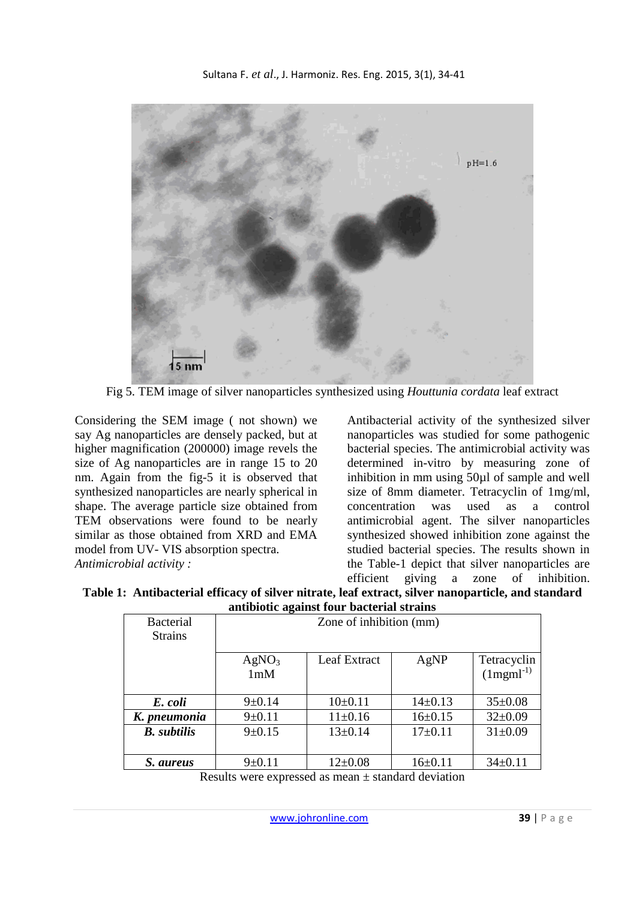

Fig 5. TEM image of silver nanoparticles synthesized using *Houttunia cordata* leaf extract

Considering the SEM image ( not shown) we say Ag nanoparticles are densely packed, but at higher magnification (200000) image revels the size of Ag nanoparticles are in range 15 to 20 nm. Again from the fig-5 it is observed that synthesized nanoparticles are nearly spherical in shape. The average particle size obtained from TEM observations were found to be nearly similar as those obtained from XRD and EMA model from UV- VIS absorption spectra. *Antimicrobial activity :*

Antibacterial activity of the synthesized silver nanoparticles was studied for some pathogenic bacterial species. The antimicrobial activity was determined in-vitro by measuring zone of inhibition in mm using 50µl of sample and well size of 8mm diameter. Tetracyclin of 1mg/ml, concentration was used as a control antimicrobial agent. The silver nanoparticles synthesized showed inhibition zone against the studied bacterial species. The results shown in the Table-1 depict that silver nanoparticles are efficient giving a zone of inhibition.

**Table 1: Antibacterial efficacy of silver nitrate, leaf extract, silver nanoparticle, and standard antibiotic against four bacterial strains** 

| <b>Bacterial</b><br><b>Strains</b> | Zone of inhibition (mm)  |               |               |                                  |
|------------------------------------|--------------------------|---------------|---------------|----------------------------------|
|                                    | AgNO <sub>3</sub><br>1mM | Leaf Extract  | AgNP          | Tetracyclin<br>$(1$ mgm $l^{-1}$ |
| E. coli                            | $9 \pm 0.14$             | $10\pm 0.11$  | $14\pm0.13$   | $35 \pm 0.08$                    |
| K. pneumonia                       | $9 \pm 0.11$             | $11 \pm 0.16$ | $16 \pm 0.15$ | $32 \pm 0.09$                    |
| <b>B.</b> subtilis                 | $9 \pm 0.15$             | $13 \pm 0.14$ | $17 \pm 0.11$ | $31 \pm 0.09$                    |
| S. aureus                          | $9 \pm 0.11$             | $12 \pm 0.08$ | $16 \pm 0.11$ | $34 \pm 0.11$                    |

Results were expressed as mean ± standard deviation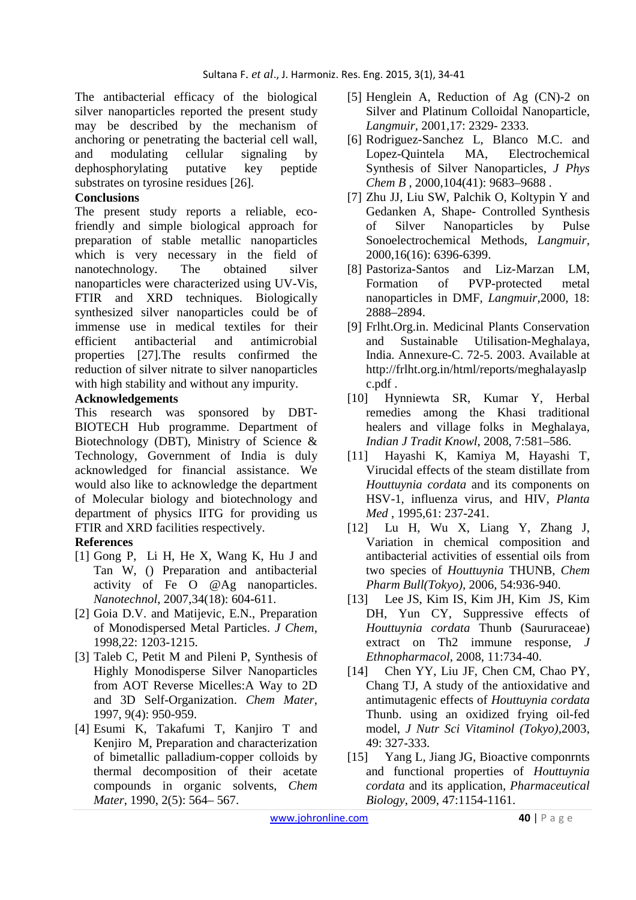The antibacterial efficacy of the biological silver nanoparticles reported the present study may be described by the mechanism of anchoring or penetrating the bacterial cell wall, and modulating cellular signaling by dephosphorylating putative key peptide substrates on tyrosine residues [26].

# **Conclusions**

The present study reports a reliable, ecofriendly and simple biological approach for preparation of stable metallic nanoparticles which is very necessary in the field of nanotechnology. The obtained silver nanoparticles were characterized using UV-Vis, FTIR and XRD techniques. Biologically synthesized silver nanoparticles could be of immense use in medical textiles for their efficient antibacterial and antimicrobial properties [27].The results confirmed the reduction of silver nitrate to silver nanoparticles with high stability and without any impurity.

## **Acknowledgements**

This research was sponsored by DBT-BIOTECH Hub programme. Department of Biotechnology (DBT), Ministry of Science & Technology, Government of India is duly acknowledged for financial assistance. We would also like to acknowledge the department of Molecular biology and biotechnology and department of physics IITG for providing us FTIR and XRD facilities respectively.

# **References**

- [1] Gong P, Li H, He X, Wang K, Hu J and Tan W, () Preparation and antibacterial activity of Fe O @Ag nanoparticles. *Nanotechnol*, 2007,34(18): 604-611.
- [2] Goia D.V. and Matijevic, E.N., Preparation of Monodispersed Metal Particles. *J Chem*, 1998,22: 1203-1215.
- [3] Taleb C, Petit M and Pileni P, Synthesis of Highly Monodisperse Silver Nanoparticles from AOT Reverse Micelles:A Way to 2D and 3D Self-Organization. *Chem Mater*, 1997, 9(4): 950-959.
- [4] Esumi K, Takafumi T, Kanjiro T and Kenjiro M, Preparation and characterization of bimetallic palladium-copper colloids by thermal decomposition of their acetate compounds in organic solvents, *Chem Mater*, 1990, 2(5): 564– 567.
- [5] Henglein A, Reduction of Ag (CN)-2 on Silver and Platinum Colloidal Nanoparticle, *Langmuir,* 2001,17: 2329- 2333.
- [6] Rodriguez-Sanchez L, Blanco M.C. and Lopez-Quintela MA, Electrochemical Synthesis of Silver Nanoparticles, *J Phys Chem B* , 2000,104(41): 9683–9688 .
- [7] Zhu JJ, Liu SW, Palchik O, Koltypin Y and Gedanken A, Shape- Controlled Synthesis of Silver Nanoparticles by Pulse Sonoelectrochemical Methods, *Langmuir,*  2000,16(16): 6396-6399.
- [8] Pastoriza-Santos and Liz-Marzan LM, Formation of PVP-protected metal nanoparticles in DMF*, Langmuir,*2000, 18: 2888–2894.
- [9] Frlht.Org.in. Medicinal Plants Conservation and Sustainable Utilisation-Meghalaya, India. Annexure-C. 72-5. 2003. Available at http://frlht.org.in/html/reports/meghalayaslp c.pdf .
- [10] Hynniewta SR, Kumar Y, Herbal remedies among the Khasi traditional healers and village folks in Meghalaya, *Indian J Tradit Knowl*, 2008, 7:581–586.
- [11] Hayashi K, Kamiya M, Hayashi T, Virucidal effects of the steam distillate from *Houttuynia cordata* and its components on HSV-1, influenza virus, and HIV, *Planta Med* , 1995,61: 237-241.
- [12] Lu H, Wu X, Liang Y, Zhang J, Variation in chemical composition and antibacterial activities of essential oils from two species of *Houttuynia* THUNB, *Chem Pharm Bull(Tokyo),* 2006, 54:936-940.
- [13] Lee JS, Kim IS, Kim JH, Kim JS, Kim DH, Yun CY, Suppressive effects of *Houttuynia cordata* Thunb (Saururaceae) extract on Th2 immune response, *J Ethnopharmacol*, 2008, 11:734-40.
- [14] Chen YY, Liu JF, Chen CM, Chao PY, Chang TJ, A study of the antioxidative and antimutagenic effects of *Houttuynia cordata*  Thunb. using an oxidized frying oil-fed model, *J Nutr Sci Vitaminol (Tokyo),*2003, 49: 327-333.
- [15] Yang L, Jiang JG, Bioactive componrnts and functional properties of *Houttuynia cordata* and its application, *Pharmaceutical Biology*, 2009, 47:1154-1161.